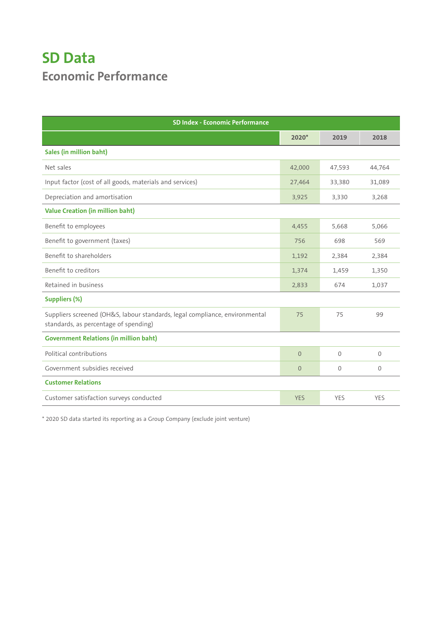## **SD Data Economic Performance**

| <b>SD Index - Economic Performance</b>                                                                               |            |              |             |  |
|----------------------------------------------------------------------------------------------------------------------|------------|--------------|-------------|--|
|                                                                                                                      | $2020*$    | 2019         | 2018        |  |
| Sales (in million baht)                                                                                              |            |              |             |  |
| Net sales                                                                                                            | 42,000     | 47,593       | 44,764      |  |
| Input factor (cost of all goods, materials and services)                                                             | 27,464     | 33,380       | 31,089      |  |
| Depreciation and amortisation                                                                                        | 3,925      | 3,330        | 3,268       |  |
| <b>Value Creation (in million baht)</b>                                                                              |            |              |             |  |
| Benefit to employees                                                                                                 | 4,455      | 5,668        | 5,066       |  |
| Benefit to government (taxes)                                                                                        | 756        | 698          | 569         |  |
| Benefit to shareholders                                                                                              | 1,192      | 2,384        | 2,384       |  |
| Benefit to creditors                                                                                                 | 1,374      | 1,459        | 1,350       |  |
| Retained in business                                                                                                 | 2,833      | 674          | 1,037       |  |
| <b>Suppliers (%)</b>                                                                                                 |            |              |             |  |
| Suppliers screened (OH&S, labour standards, legal compliance, environmental<br>standards, as percentage of spending) | 75         | 75           | 99          |  |
| <b>Government Relations (in million baht)</b>                                                                        |            |              |             |  |
| Political contributions                                                                                              | $\Omega$   | $\mathbf{0}$ | $\mathbf 0$ |  |
| Government subsidies received                                                                                        | $\Omega$   | $\Omega$     | $\mathbf 0$ |  |
| <b>Customer Relations</b>                                                                                            |            |              |             |  |
| Customer satisfaction surveys conducted                                                                              | <b>YES</b> | <b>YES</b>   | YES         |  |

\* 2020 SD data started its reporting as a Group Company (exclude joint venture)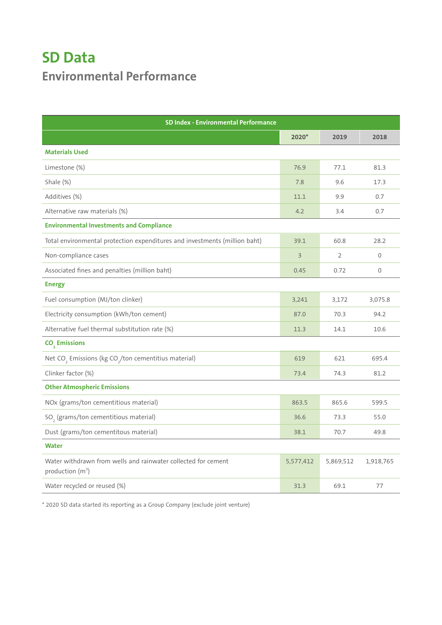## **SD Data Environmental Performance**

| <b>SD Index - Environmental Performance</b>                                                   |                |                |           |
|-----------------------------------------------------------------------------------------------|----------------|----------------|-----------|
|                                                                                               | 2020*          | 2019           | 2018      |
| <b>Materials Used</b>                                                                         |                |                |           |
| Limestone (%)                                                                                 | 76.9           | 77.1           | 81.3      |
| Shale (%)                                                                                     | 7.8            | 9.6            | 17.3      |
| Additives (%)                                                                                 | 11.1           | 9.9            | 0.7       |
| Alternative raw materials (%)                                                                 | 4.2            | 3.4            | 0.7       |
| <b>Environmental Investments and Compliance</b>                                               |                |                |           |
| Total environmental protection expenditures and investments (million baht)                    | 39.1           | 60.8           | 28.2      |
| Non-compliance cases                                                                          | $\overline{3}$ | $\overline{2}$ | 0         |
| Associated fines and penalties (million baht)                                                 | 0.45           | 0.72           | 0         |
| <b>Energy</b>                                                                                 |                |                |           |
| Fuel consumption (MJ/ton clinker)                                                             | 3,241          | 3,172          | 3,075.8   |
| Electricity consumption (kWh/ton cement)                                                      | 87.0           | 70.3           | 94.2      |
| Alternative fuel thermal substitution rate (%)                                                | 11.3           | 14.1           | 10.6      |
| CO <sub>2</sub> Emissions                                                                     |                |                |           |
| Net CO <sub>2</sub> Emissions (kg CO <sub>2</sub> /ton cementitius material)                  | 619            | 621            | 695.4     |
| Clinker factor (%)                                                                            | 73.4           | 74.3           | 81.2      |
| <b>Other Atmospheric Emissions</b>                                                            |                |                |           |
| NOx (grams/ton cementitious material)                                                         | 863.5          | 865.6          | 599.5     |
| SO <sub>2</sub> (grams/ton cementitious material)                                             | 36.6           | 73.3           | 55.0      |
| Dust (grams/ton cementitous material)                                                         | 38.1           | 70.7           | 49.8      |
| <b>Water</b>                                                                                  |                |                |           |
| Water withdrawn from wells and rainwater collected for cement<br>production (m <sup>3</sup> ) | 5,577,412      | 5,869,512      | 1,918,765 |
| Water recycled or reused (%)                                                                  | 31.3           | 69.1           | 77        |

\* 2020 SD data started its reporting as a Group Company (exclude joint venture)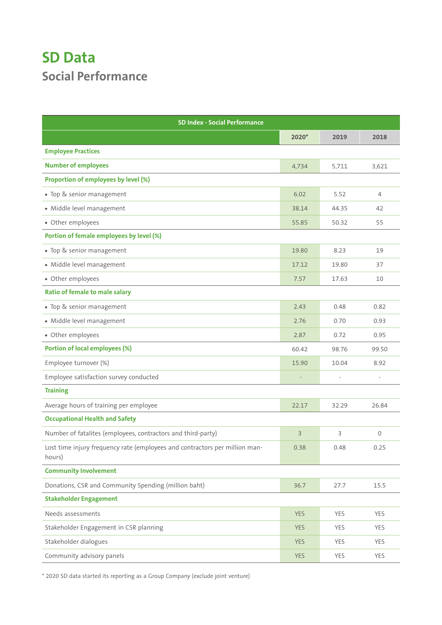## **SD Data Social Performance**

| <b>SD Index - Social Performance</b>                                                  |                |       |                |  |
|---------------------------------------------------------------------------------------|----------------|-------|----------------|--|
|                                                                                       | $2020*$        | 2019  | 2018           |  |
| <b>Employee Practices</b>                                                             |                |       |                |  |
| <b>Number of employees</b>                                                            | 4,734          | 5,711 | 3,621          |  |
| Proportion of employees by level (%)                                                  |                |       |                |  |
| • Top & senior management                                                             | 6.02           | 5.52  | $\overline{4}$ |  |
| · Middle level management                                                             | 38.14          | 44.35 | 42             |  |
| • Other employees                                                                     | 55.85          | 50.32 | 55             |  |
| Portion of female employees by level (%)                                              |                |       |                |  |
| • Top & senior management                                                             | 19.80          | 8.23  | 19             |  |
| · Middle level management                                                             | 17.12          | 19.80 | 37             |  |
| • Other employees                                                                     | 7.57           | 17.63 | 10             |  |
| <b>Ratio of female to male salary</b>                                                 |                |       |                |  |
| · Top & senior management                                                             | 2.43           | 0.48  | 0.82           |  |
| · Middle level management                                                             | 2.76           | 0.70  | 0.93           |  |
| • Other employees                                                                     | 2.87           | 0.72  | 0.95           |  |
| <b>Portion of local employees (%)</b>                                                 | 60.42          | 98.76 | 99.50          |  |
| Employee turnover (%)                                                                 | 15.90          | 10.04 | 8.92           |  |
| Employee satisfaction survey conducted                                                |                |       |                |  |
| <b>Training</b>                                                                       |                |       |                |  |
| Average hours of training per employee                                                | 22.17          | 32.29 | 26.84          |  |
| <b>Occupational Health and Safety</b>                                                 |                |       |                |  |
| Number of fatalites (employees, contractors and third-party)                          | $\overline{3}$ | 3     | $\mathbf{0}$   |  |
| Lost time injury frequency rate (employees and contractors per million man-<br>hours) | 0.38           | 0.48  | 0.25           |  |
| <b>Community Involvement</b>                                                          |                |       |                |  |
| Donations, CSR and Community Spending (million baht)                                  | 36.7           | 27.7  | 15.5           |  |
| <b>Stakeholder Engagement</b>                                                         |                |       |                |  |
| Needs assessments                                                                     | <b>YES</b>     | YES   | YES            |  |
| Stakeholder Engagement in CSR planning                                                | <b>YES</b>     | YES   | YES            |  |
| Stakeholder dialogues                                                                 | <b>YES</b>     | YES   | <b>YES</b>     |  |
| Community advisory panels                                                             | <b>YES</b>     | YES   | YES            |  |

\* 2020 SD data started its reporting as a Group Company (exclude joint venture)